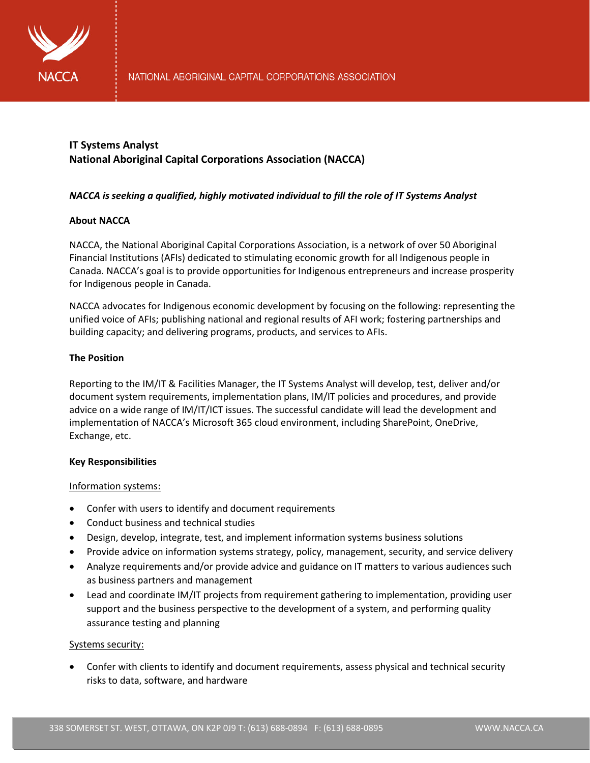

# **IT Systems Analyst National Aboriginal Capital Corporations Association (NACCA)**

# *NACCA is seeking a qualified, highly motivated individual to fill the role of IT Systems Analyst*

# **About NACCA**

NACCA, the National Aboriginal Capital Corporations Association, is a network of over 50 Aboriginal Financial Institutions (AFIs) dedicated to stimulating economic growth for all Indigenous people in Canada. NACCA's goal is to provide opportunities for Indigenous entrepreneurs and increase prosperity for Indigenous people in Canada.

NACCA advocates for Indigenous economic development by focusing on the following: representing the unified voice of AFIs; publishing national and regional results of AFI work; fostering partnerships and building capacity; and delivering programs, products, and services to AFIs.

# **The Position**

Reporting to the IM/IT & Facilities Manager, the IT Systems Analyst will develop, test, deliver and/or document system requirements, implementation plans, IM/IT policies and procedures, and provide advice on a wide range of IM/IT/ICT issues. The successful candidate will lead the development and implementation of NACCA's Microsoft 365 cloud environment, including SharePoint, OneDrive, Exchange, etc.

## **Key Responsibilities**

## Information systems:

- Confer with users to identify and document requirements
- Conduct business and technical studies
- Design, develop, integrate, test, and implement information systems business solutions
- Provide advice on information systems strategy, policy, management, security, and service delivery
- Analyze requirements and/or provide advice and guidance on IT matters to various audiences such as business partners and management
- Lead and coordinate IM/IT projects from requirement gathering to implementation, providing user support and the business perspective to the development of a system, and performing quality assurance testing and planning

## Systems security:

• Confer with clients to identify and document requirements, assess physical and technical security risks to data, software, and hardware